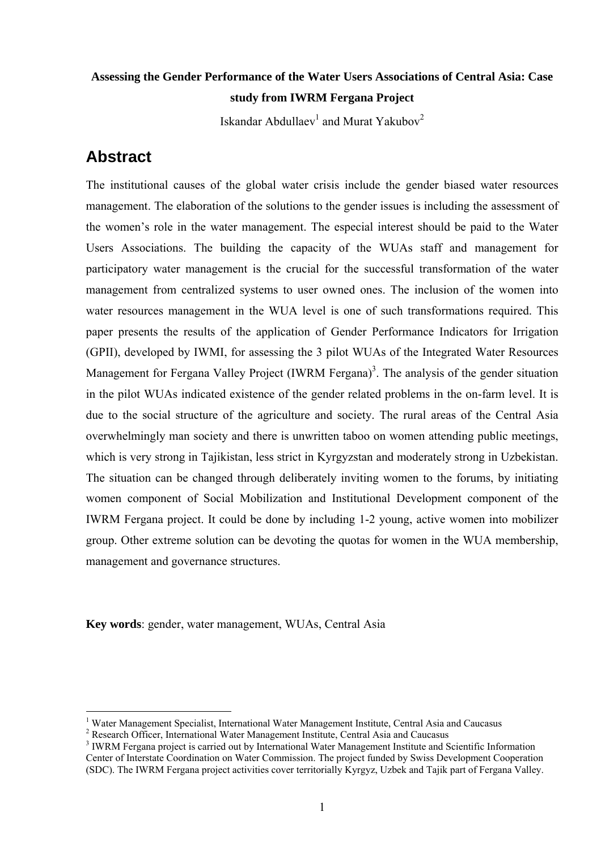## **Assessing the Gender Performance of the Water Users Associations of Central Asia: Case study from IWRM Fergana Project**

Iskandar Abdullaev $^{\rm l}$  and Murat Yakubov $^{\rm 2}$  $^{\rm 2}$  $^{\rm 2}$ 

## **Abstract**

 $\overline{a}$ 

The institutional causes of the global water crisis include the gender biased water resources management. The elaboration of the solutions to the gender issues is including the assessment of the women's role in the water management. The especial interest should be paid to the Water Users Associations. The building the capacity of the WUAs staff and management for participatory water management is the crucial for the successful transformation of the water management from centralized systems to user owned ones. The inclusion of the women into water resources management in the WUA level is one of such transformations required. This paper presents the results of the application of Gender Performance Indicators for Irrigation (GPII), developed by IWMI, for assessing the 3 pilot WUAs of the Integrated Water Resources Management for Fergana Valley Project (IWRM Fergana)<sup>3</sup>. The analysis of the gender situation in the pilot WUAs indicated existence of the gender related problems in the on-farm level. It is due to the social structure of the agriculture and society. The rural areas of the Central Asia overwhelmingly man society and there is unwritten taboo on women attending public meetings, which is very strong in Tajikistan, less strict in Kyrgyzstan and moderately strong in Uzbekistan. The situation can be changed through deliberately inviting women to the forums, by initiating women component of Social Mobilization and Institutional Development component of the IWRM Fergana project. It could be done by including 1-2 young, active women into mobilizer group. Other extreme solution can be devoting the quotas for women in the WUA membership, management and governance structures.

**Key words**: gender, water management, WUAs, Central Asia

<span id="page-0-0"></span><sup>&</sup>lt;sup>1</sup> Water Management Specialist, International Water Management Institute, Central Asia and Caucasus  $2$  Research Officer, International Water Management Institute, Central Asia and Caucasus

<span id="page-0-1"></span>

<span id="page-0-2"></span><sup>&</sup>lt;sup>3</sup> IWRM Fergana project is carried out by International Water Management Institute and Scientific Information Center of Interstate Coordination on Water Commission. The project funded by Swiss Development Cooperation (SDC). The IWRM Fergana project activities cover territorially Kyrgyz, Uzbek and Tajik part of Fergana Valley.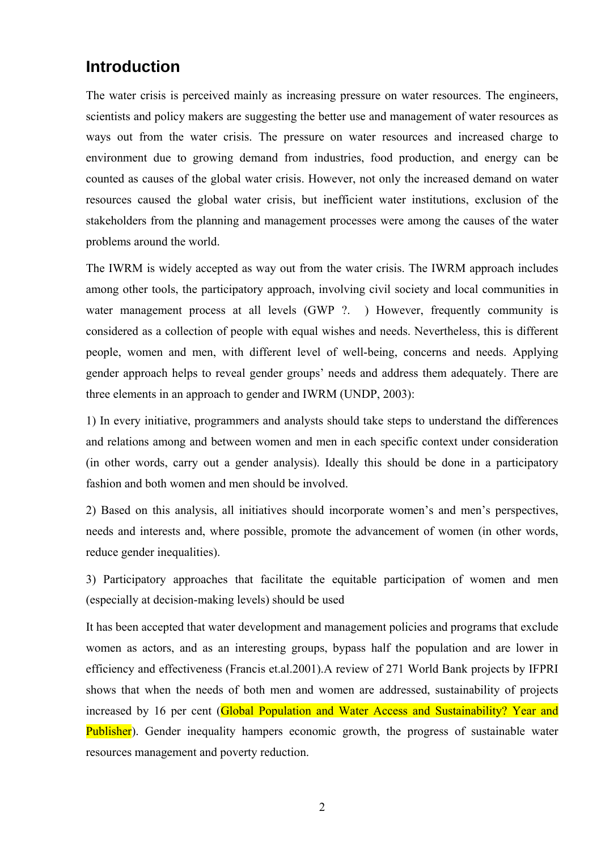# **Introduction**

The water crisis is perceived mainly as increasing pressure on water resources. The engineers, scientists and policy makers are suggesting the better use and management of water resources as ways out from the water crisis. The pressure on water resources and increased charge to environment due to growing demand from industries, food production, and energy can be counted as causes of the global water crisis. However, not only the increased demand on water resources caused the global water crisis, but inefficient water institutions, exclusion of the stakeholders from the planning and management processes were among the causes of the water problems around the world.

The IWRM is widely accepted as way out from the water crisis. The IWRM approach includes among other tools, the participatory approach, involving civil society and local communities in water management process at all levels (GWP ?. ) However, frequently community is considered as a collection of people with equal wishes and needs. Nevertheless, this is different people, women and men, with different level of well-being, concerns and needs. Applying gender approach helps to reveal gender groups' needs and address them adequately. There are three elements in an approach to gender and IWRM (UNDP, 2003):

1) In every initiative, programmers and analysts should take steps to understand the differences and relations among and between women and men in each specific context under consideration (in other words, carry out a gender analysis). Ideally this should be done in a participatory fashion and both women and men should be involved.

2) Based on this analysis, all initiatives should incorporate women's and men's perspectives, needs and interests and, where possible, promote the advancement of women (in other words, reduce gender inequalities).

3) Participatory approaches that facilitate the equitable participation of women and men (especially at decision-making levels) should be used

It has been accepted that water development and management policies and programs that exclude women as actors, and as an interesting groups, bypass half the population and are lower in efficiency and effectiveness (Francis et.al.2001).A review of 271 World Bank projects by IFPRI shows that when the needs of both men and women are addressed, sustainability of projects increased by 16 per cent (Global Population and Water Access and Sustainability? Year and Publisher). Gender inequality hampers economic growth, the progress of sustainable water resources management and poverty reduction.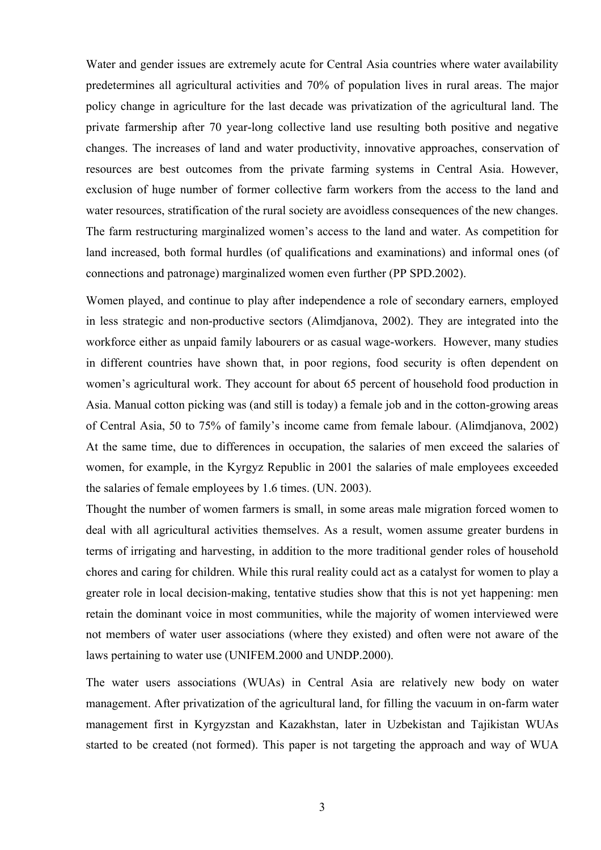Water and gender issues are extremely acute for Central Asia countries where water availability predetermines all agricultural activities and 70% of population lives in rural areas. The major policy change in agriculture for the last decade was privatization of the agricultural land. The private farmership after 70 year-long collective land use resulting both positive and negative changes. The increases of land and water productivity, innovative approaches, conservation of resources are best outcomes from the private farming systems in Central Asia. However, exclusion of huge number of former collective farm workers from the access to the land and water resources, stratification of the rural society are avoidless consequences of the new changes. The farm restructuring marginalized women's access to the land and water. As competition for land increased, both formal hurdles (of qualifications and examinations) and informal ones (of connections and patronage) marginalized women even further (PP SPD.2002).

Women played, and continue to play after independence a role of secondary earners, employed in less strategic and non-productive sectors (Alimdjanova, 2002). They are integrated into the workforce either as unpaid family labourers or as casual wage-workers. However, many studies in different countries have shown that, in poor regions, food security is often dependent on women's agricultural work. They account for about 65 percent of household food production in Asia. Manual cotton picking was (and still is today) a female job and in the cotton-growing areas of Central Asia, 50 to 75% of family's income came from female labour. (Alimdjanova, 2002) At the same time, due to differences in occupation, the salaries of men exceed the salaries of women, for example, in the Kyrgyz Republic in 2001 the salaries of male employees exceeded the salaries of female employees by 1.6 times. (UN. 2003).

Thought the number of women farmers is small, in some areas male migration forced women to deal with all agricultural activities themselves. As a result, women assume greater burdens in terms of irrigating and harvesting, in addition to the more traditional gender roles of household chores and caring for children. While this rural reality could act as a catalyst for women to play a greater role in local decision-making, tentative studies show that this is not yet happening: men retain the dominant voice in most communities, while the majority of women interviewed were not members of water user associations (where they existed) and often were not aware of the laws pertaining to water use (UNIFEM.2000 and UNDP.2000).

The water users associations (WUAs) in Central Asia are relatively new body on water management. After privatization of the agricultural land, for filling the vacuum in on-farm water management first in Kyrgyzstan and Kazakhstan, later in Uzbekistan and Tajikistan WUAs started to be created (not formed). This paper is not targeting the approach and way of WUA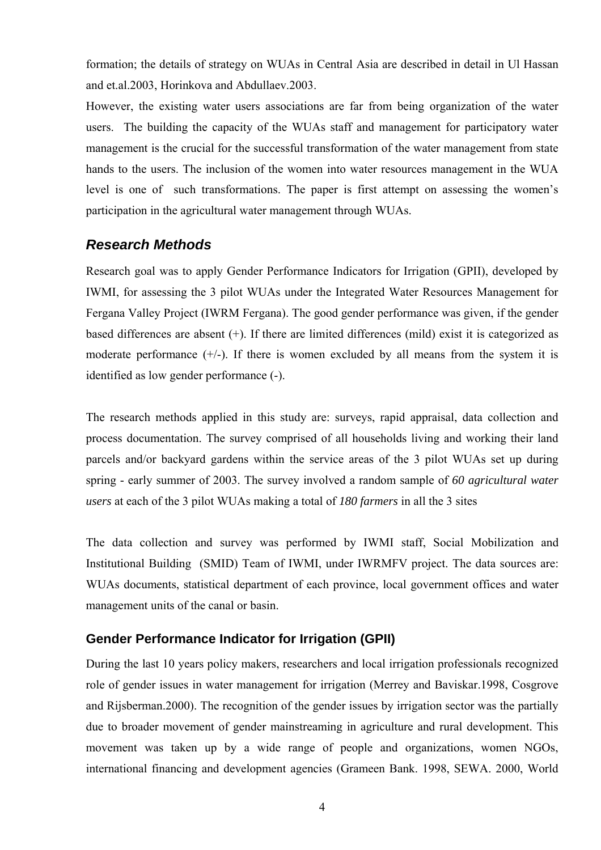formation; the details of strategy on WUAs in Central Asia are described in detail in Ul Hassan and et.al.2003, Horinkova and Abdullaev.2003.

However, the existing water users associations are far from being organization of the water users. The building the capacity of the WUAs staff and management for participatory water management is the crucial for the successful transformation of the water management from state hands to the users. The inclusion of the women into water resources management in the WUA level is one of such transformations. The paper is first attempt on assessing the women's participation in the agricultural water management through WUAs.

#### *Research Methods*

Research goal was to apply Gender Performance Indicators for Irrigation (GPII), developed by IWMI, for assessing the 3 pilot WUAs under the Integrated Water Resources Management for Fergana Valley Project (IWRM Fergana). The good gender performance was given, if the gender based differences are absent (+). If there are limited differences (mild) exist it is categorized as moderate performance  $(+/-)$ . If there is women excluded by all means from the system it is identified as low gender performance (-).

The research methods applied in this study are: surveys, rapid appraisal, data collection and process documentation. The survey comprised of all households living and working their land parcels and/or backyard gardens within the service areas of the 3 pilot WUAs set up during spring - early summer of 2003. The survey involved a random sample of *60 agricultural water users* at each of the 3 pilot WUAs making a total of *180 farmers* in all the 3 sites

The data collection and survey was performed by IWMI staff, Social Mobilization and Institutional Building (SMID) Team of IWMI, under IWRMFV project. The data sources are: WUAs documents, statistical department of each province, local government offices and water management units of the canal or basin.

#### **Gender Performance Indicator for Irrigation (GPII)**

During the last 10 years policy makers, researchers and local irrigation professionals recognized role of gender issues in water management for irrigation (Merrey and Baviskar.1998, Cosgrove and Rijsberman.2000). The recognition of the gender issues by irrigation sector was the partially due to broader movement of gender mainstreaming in agriculture and rural development. This movement was taken up by a wide range of people and organizations, women NGOs, international financing and development agencies (Grameen Bank. 1998, SEWA. 2000, World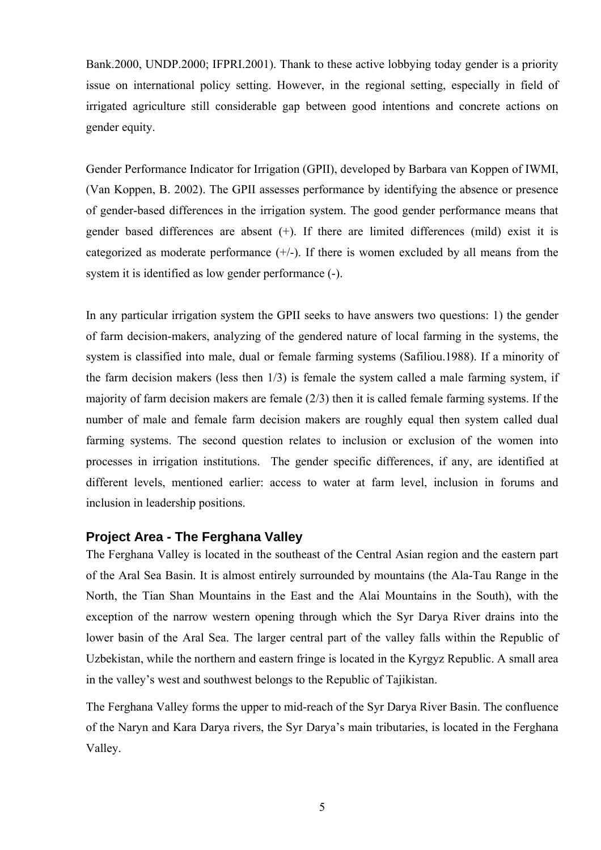Bank.2000, UNDP.2000; IFPRI.2001). Thank to these active lobbying today gender is a priority issue on international policy setting. However, in the regional setting, especially in field of irrigated agriculture still considerable gap between good intentions and concrete actions on gender equity.

Gender Performance Indicator for Irrigation (GPII), developed by Barbara van Koppen of IWMI, (Van Koppen, B. 2002). The GPII assesses performance by identifying the absence or presence of gender-based differences in the irrigation system. The good gender performance means that gender based differences are absent (+). If there are limited differences (mild) exist it is categorized as moderate performance  $(+)$ . If there is women excluded by all means from the system it is identified as low gender performance (-).

In any particular irrigation system the GPII seeks to have answers two questions: 1) the gender of farm decision-makers, analyzing of the gendered nature of local farming in the systems, the system is classified into male, dual or female farming systems (Safiliou.1988). If a minority of the farm decision makers (less then 1/3) is female the system called a male farming system, if majority of farm decision makers are female (2/3) then it is called female farming systems. If the number of male and female farm decision makers are roughly equal then system called dual farming systems. The second question relates to inclusion or exclusion of the women into processes in irrigation institutions. The gender specific differences, if any, are identified at different levels, mentioned earlier: access to water at farm level, inclusion in forums and inclusion in leadership positions.

#### **Project Area - The Ferghana Valley**

The Ferghana Valley is located in the southeast of the Central Asian region and the eastern part of the Aral Sea Basin. It is almost entirely surrounded by mountains (the Ala-Tau Range in the North, the Tian Shan Mountains in the East and the Alai Mountains in the South), with the exception of the narrow western opening through which the Syr Darya River drains into the lower basin of the Aral Sea. The larger central part of the valley falls within the Republic of Uzbekistan, while the northern and eastern fringe is located in the Kyrgyz Republic. A small area in the valley's west and southwest belongs to the Republic of Tajikistan.

The Ferghana Valley forms the upper to mid-reach of the Syr Darya River Basin. The confluence of the Naryn and Kara Darya rivers, the Syr Darya's main tributaries, is located in the Ferghana Valley.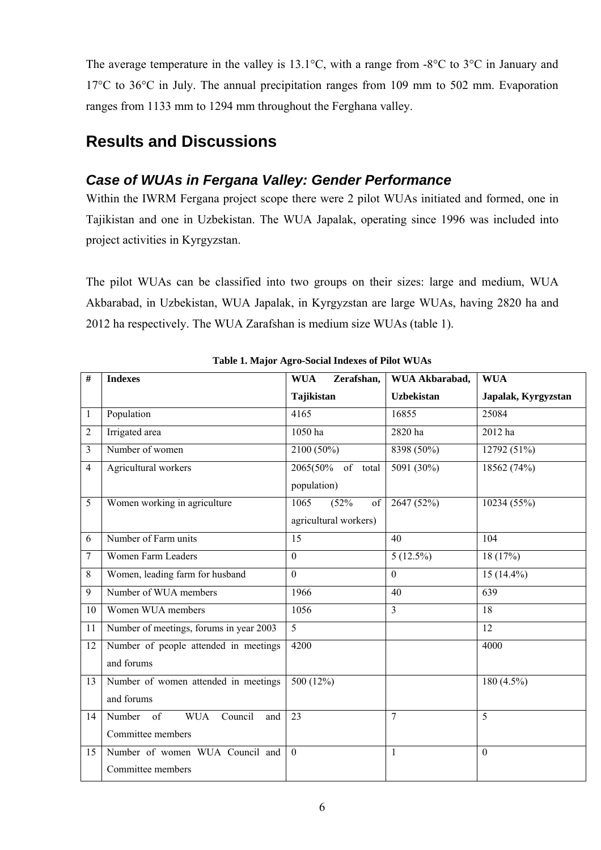The average temperature in the valley is 13.1°C, with a range from -8°C to 3°C in January and 17°C to 36°C in July. The annual precipitation ranges from 109 mm to 502 mm. Evaporation ranges from 1133 mm to 1294 mm throughout the Ferghana valley.

# **Results and Discussions**

## *Case of WUAs in Fergana Valley: Gender Performance*

Within the IWRM Fergana project scope there were 2 pilot WUAs initiated and formed, one in Tajikistan and one in Uzbekistan. The WUA Japalak, operating since 1996 was included into project activities in Kyrgyzstan.

The pilot WUAs can be classified into two groups on their sizes: large and medium, WUA Akbarabad, in Uzbekistan, WUA Japalak, in Kyrgyzstan are large WUAs, having 2820 ha and 2012 ha respectively. The WUA Zarafshan is medium size WUAs (table 1).

| #              | <b>Indexes</b>                                                                        | <b>WUA</b><br>Zerafshan,                    | WUA Akbarabad,    | <b>WUA</b>          |  |
|----------------|---------------------------------------------------------------------------------------|---------------------------------------------|-------------------|---------------------|--|
|                |                                                                                       | Tajikistan                                  | <b>Uzbekistan</b> | Japalak, Kyrgyzstan |  |
| $\mathbf{1}$   | Population                                                                            | 4165                                        | 16855             | 25084               |  |
| $\overline{2}$ | Irrigated area                                                                        | 1050 ha                                     | 2820 ha           | 2012 ha             |  |
| 3              | Number of women                                                                       | $2100(50\%)$                                | 8398 (50%)        | 12792 (51%)         |  |
| 4              | Agricultural workers                                                                  | 2065(50% of total<br>population)            | $5091(30\%)$      | 18562 (74%)         |  |
| 5              | Women working in agriculture                                                          | 1065<br>(52%<br>of<br>agricultural workers) | 2647 (52%)        | 10234(55%)          |  |
| 6              | Number of Farm units                                                                  | 15                                          | 40                | 104                 |  |
| 7              | <b>Women Farm Leaders</b>                                                             | $\overline{0}$                              | $5(12.5\%)$       | 18(17%)             |  |
| 8              | Women, leading farm for husband                                                       | $\theta$                                    | $\theta$          | $15(14.4\%)$        |  |
| 9              | Number of WUA members                                                                 | 1966                                        | 40                | 639                 |  |
| 10             | Women WUA members                                                                     | 1056                                        | $\overline{3}$    | 18                  |  |
| 11             | Number of meetings, forums in year 2003                                               | $\overline{5}$                              |                   | 12                  |  |
| 12             | Number of people attended in meetings<br>and forums                                   | 4200                                        |                   | 4000                |  |
| 13             | Number of women attended in meetings<br>and forums                                    | 500(12%)                                    |                   | $180(4.5\%)$        |  |
| 14             | Council<br>Number<br>$\overline{\text{of}}$<br><b>WUA</b><br>and<br>Committee members | 23                                          | $\overline{7}$    | $\overline{5}$      |  |
| 15             | Number of women WUA Council and<br>Committee members                                  | $\Omega$                                    | $\mathbf{1}$      | $\theta$            |  |

**Table 1. Major Agro-Social Indexes of Pilot WUAs**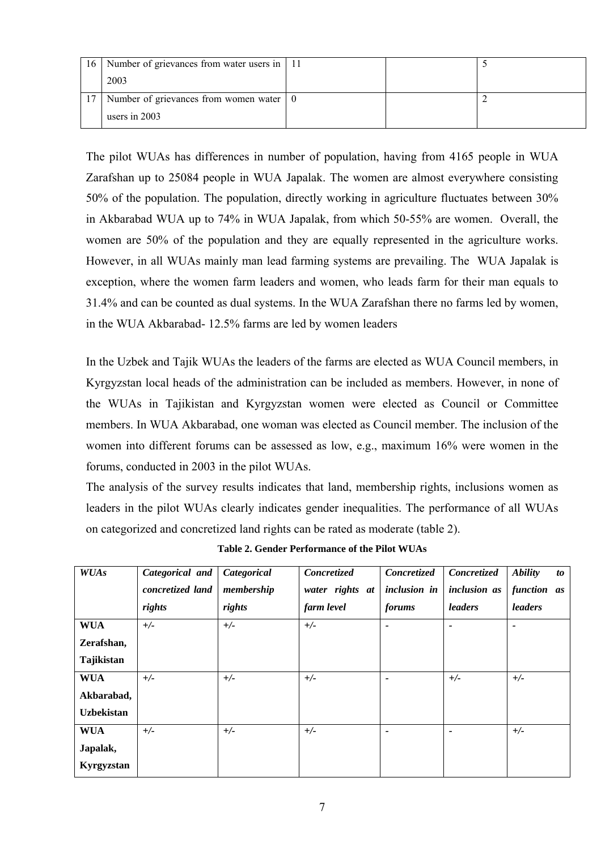| 16 I | Number of grievances from water users in 11             |  |  |
|------|---------------------------------------------------------|--|--|
|      | 2003                                                    |  |  |
|      | Number of grievances from women water $\vert 0 \rangle$ |  |  |
|      | users in $2003$                                         |  |  |

The pilot WUAs has differences in number of population, having from 4165 people in WUA Zarafshan up to 25084 people in WUA Japalak. The women are almost everywhere consisting 50% of the population. The population, directly working in agriculture fluctuates between 30% in Akbarabad WUA up to 74% in WUA Japalak, from which 50-55% are women. Overall, the women are 50% of the population and they are equally represented in the agriculture works. However, in all WUAs mainly man lead farming systems are prevailing. The WUA Japalak is exception, where the women farm leaders and women, who leads farm for their man equals to 31.4% and can be counted as dual systems. In the WUA Zarafshan there no farms led by women, in the WUA Akbarabad- 12.5% farms are led by women leaders

In the Uzbek and Tajik WUAs the leaders of the farms are elected as WUA Council members, in Kyrgyzstan local heads of the administration can be included as members. However, in none of the WUAs in Tajikistan and Kyrgyzstan women were elected as Council or Committee members. In WUA Akbarabad, one woman was elected as Council member. The inclusion of the women into different forums can be assessed as low, e.g., maximum 16% were women in the forums, conducted in 2003 in the pilot WUAs.

The analysis of the survey results indicates that land, membership rights, inclusions women as leaders in the pilot WUAs clearly indicates gender inequalities. The performance of all WUAs on categorized and concretized land rights can be rated as moderate (table 2).

| <b>WUAs</b>       | Categorical and  | Categorical | Concretized     | Concretized  | Concretized              | <b>Ability</b><br>to  |
|-------------------|------------------|-------------|-----------------|--------------|--------------------------|-----------------------|
|                   | concretized land | membership  | water rights at | inclusion in | inclusion as             | function as           |
|                   | rights           | rights      | farm level      | forums       | leaders                  | leaders               |
| <b>WUA</b>        | $+/-$            | $+/-$       | $+/-$           |              | $\overline{\phantom{0}}$ | $\tilde{\phantom{a}}$ |
| Zerafshan,        |                  |             |                 |              |                          |                       |
| Tajikistan        |                  |             |                 |              |                          |                       |
| <b>WUA</b>        | $+/-$            | $+/-$       | $+/-$           |              | $+/-$                    | $+/-$                 |
| Akbarabad,        |                  |             |                 |              |                          |                       |
| <b>Uzbekistan</b> |                  |             |                 |              |                          |                       |
| <b>WUA</b>        | $+/-$            | $+/-$       | $+/-$           |              | $\overline{\phantom{0}}$ | $+/-$                 |
| Japalak,          |                  |             |                 |              |                          |                       |
| Kyrgyzstan        |                  |             |                 |              |                          |                       |

**Table 2. Gender Performance of the Pilot WUAs**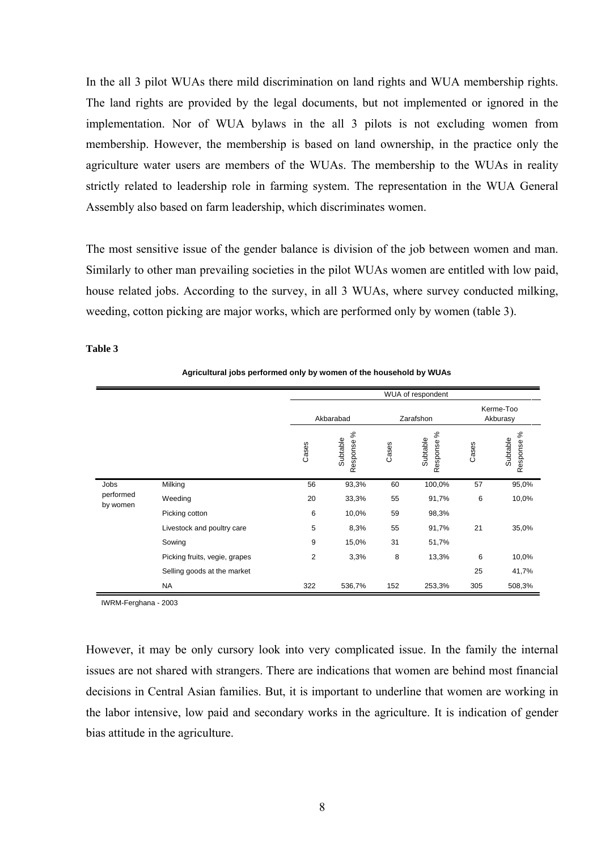In the all 3 pilot WUAs there mild discrimination on land rights and WUA membership rights. The land rights are provided by the legal documents, but not implemented or ignored in the implementation. Nor of WUA bylaws in the all 3 pilots is not excluding women from membership. However, the membership is based on land ownership, in the practice only the agriculture water users are members of the WUAs. The membership to the WUAs in reality strictly related to leadership role in farming system. The representation in the WUA General Assembly also based on farm leadership, which discriminates women.

The most sensitive issue of the gender balance is division of the job between women and man. Similarly to other man prevailing societies in the pilot WUAs women are entitled with low paid, house related jobs. According to the survey, in all 3 WUAs, where survey conducted milking, weeding, cotton picking are major works, which are performed only by women (table 3).

**Table 3**

|                       |                               |                |                            |           | WUA of respondent          |                       |                            |
|-----------------------|-------------------------------|----------------|----------------------------|-----------|----------------------------|-----------------------|----------------------------|
|                       |                               | Akbarabad      |                            | Zarafshon |                            | Kerme-Too<br>Akburasy |                            |
|                       |                               | Cases          | వ్<br>Subtable<br>Response | Cases     | వి<br>Subtable<br>Response | Cases                 | వి<br>Subtable<br>Response |
| Jobs                  | Milking                       | 56             | 93,3%                      | 60        | 100,0%                     | 57                    | 95,0%                      |
| performed<br>by women | Weeding                       | 20             | 33,3%                      | 55        | 91,7%                      | 6                     | 10,0%                      |
|                       | Picking cotton                | 6              | 10,0%                      | 59        | 98,3%                      |                       |                            |
|                       | Livestock and poultry care    | 5              | 8,3%                       | 55        | 91,7%                      | 21                    | 35,0%                      |
|                       | Sowing                        | 9              | 15,0%                      | 31        | 51,7%                      |                       |                            |
|                       | Picking fruits, vegie, grapes | $\overline{2}$ | 3,3%                       | 8         | 13,3%                      | 6                     | 10,0%                      |
|                       | Selling goods at the market   |                |                            |           |                            | 25                    | 41,7%                      |
|                       | <b>NA</b>                     | 322            | 536,7%                     | 152       | 253,3%                     | 305                   | 508,3%                     |

**Agricultural jobs performed only by women of the household by WUAs**

IWRM-Ferghana - 2003

However, it may be only cursory look into very complicated issue. In the family the internal issues are not shared with strangers. There are indications that women are behind most financial decisions in Central Asian families. But, it is important to underline that women are working in the labor intensive, low paid and secondary works in the agriculture. It is indication of gender bias attitude in the agriculture.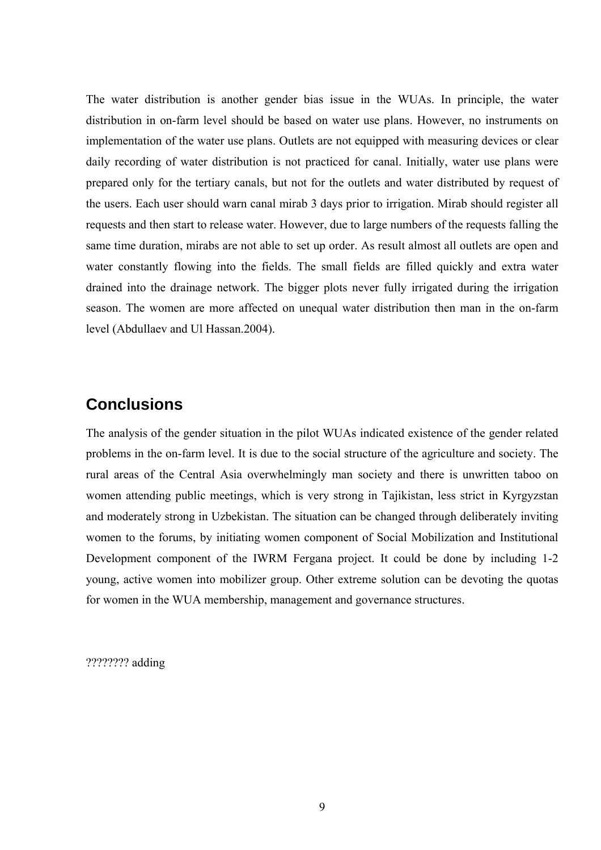The water distribution is another gender bias issue in the WUAs. In principle, the water distribution in on-farm level should be based on water use plans. However, no instruments on implementation of the water use plans. Outlets are not equipped with measuring devices or clear daily recording of water distribution is not practiced for canal. Initially, water use plans were prepared only for the tertiary canals, but not for the outlets and water distributed by request of the users. Each user should warn canal mirab 3 days prior to irrigation. Mirab should register all requests and then start to release water. However, due to large numbers of the requests falling the same time duration, mirabs are not able to set up order. As result almost all outlets are open and water constantly flowing into the fields. The small fields are filled quickly and extra water drained into the drainage network. The bigger plots never fully irrigated during the irrigation season. The women are more affected on unequal water distribution then man in the on-farm level (Abdullaev and Ul Hassan.2004).

## **Conclusions**

The analysis of the gender situation in the pilot WUAs indicated existence of the gender related problems in the on-farm level. It is due to the social structure of the agriculture and society. The rural areas of the Central Asia overwhelmingly man society and there is unwritten taboo on women attending public meetings, which is very strong in Tajikistan, less strict in Kyrgyzstan and moderately strong in Uzbekistan. The situation can be changed through deliberately inviting women to the forums, by initiating women component of Social Mobilization and Institutional Development component of the IWRM Fergana project. It could be done by including 1-2 young, active women into mobilizer group. Other extreme solution can be devoting the quotas for women in the WUA membership, management and governance structures.

???????? adding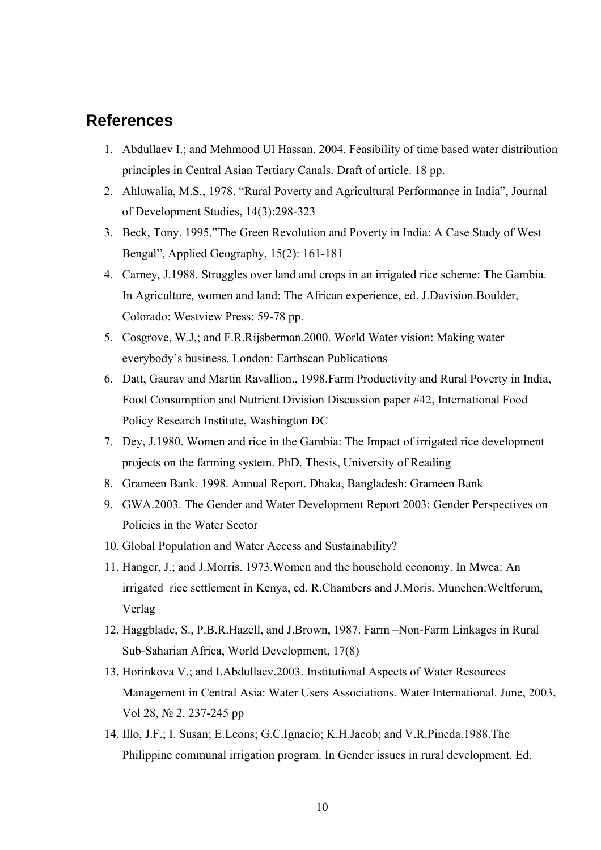### **References**

- 1. Abdullaev I.; and Mehmood Ul Hassan. 2004. Feasibility of time based water distribution principles in Central Asian Tertiary Canals. Draft of article. 18 pp.
- 2. Ahluwalia, M.S., 1978. "Rural Poverty and Agricultural Performance in India", Journal of Development Studies, 14(3):298-323
- 3. Beck, Tony. 1995."The Green Revolution and Poverty in India: A Case Study of West Bengal", Applied Geography, 15(2): 161-181
- 4. Carney, J.1988. Struggles over land and crops in an irrigated rice scheme: The Gambia. In Agriculture, women and land: The African experience, ed. J.Davision.Boulder, Colorado: Westview Press: 59-78 pp.
- 5. Cosgrove, W.J,; and F.R.Rijsberman.2000. World Water vision: Making water everybody's business. London: Earthscan Publications
- 6. Datt, Gaurav and Martin Ravallion., 1998.Farm Productivity and Rural Poverty in India, Food Consumption and Nutrient Division Discussion paper #42, International Food Policy Research Institute, Washington DC
- 7. Dey, J.1980. Women and rice in the Gambia: The Impact of irrigated rice development projects on the farming system. PhD. Thesis, University of Reading
- 8. Grameen Bank. 1998. Annual Report. Dhaka, Bangladesh: Grameen Bank
- 9. GWA.2003. The Gender and Water Development Report 2003: Gender Perspectives on Policies in the Water Sector
- 10. Global Population and Water Access and Sustainability?
- 11. Hanger, J.; and J.Morris. 1973.Women and the household economy. In Mwea: An irrigated rice settlement in Kenya, ed. R.Chambers and J.Moris. Munchen:Weltforum, Verlag
- 12. Haggblade, S., P.B.R.Hazell, and J.Brown, 1987. Farm –Non-Farm Linkages in Rural Sub-Saharian Africa, World Development, 17(8)
- 13. Horinkova V.; and I.Abdullaev.2003. Institutional Aspects of Water Resources Management in Central Asia: Water Users Associations. Water International. June, 2003, Vol 28, № 2. 237-245 pp
- 14. Illo, J.F.; I. Susan; E.Leons; G.C.Ignacio; K.H.Jacob; and V.R.Pineda.1988.The Philippine communal irrigation program. In Gender issues in rural development. Ed.